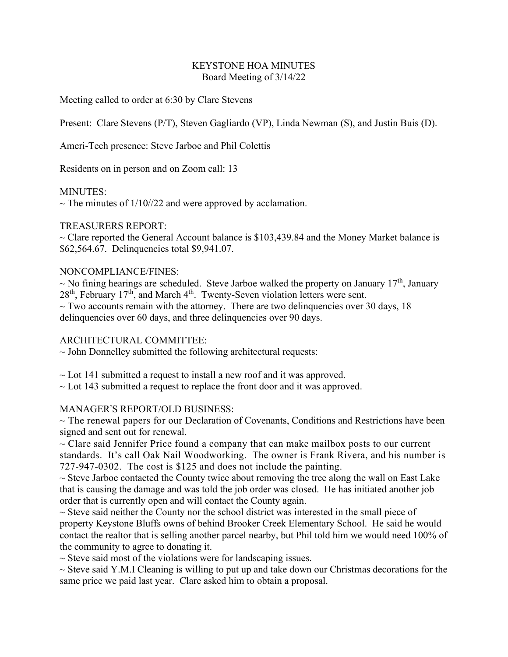### KEYSTONE HOA MINUTES Board Meeting of 3/14/22

Meeting called to order at 6:30 by Clare Stevens

Present: Clare Stevens (P/T), Steven Gagliardo (VP), Linda Newman (S), and Justin Buis (D).

Ameri-Tech presence: Steve Jarboe and Phil Colettis

Residents on in person and on Zoom call: 13

### MINUTES:

 $\sim$  The minutes of 1/10//22 and were approved by acclamation.

### TREASURERS REPORT:

 $\sim$  Clare reported the General Account balance is \$103,439.84 and the Money Market balance is \$62,564.67. Delinquencies total \$9,941.07.

### NONCOMPLIANCE/FINES:

 $\sim$  No fining hearings are scheduled. Steve Jarboe walked the property on January 17<sup>th</sup>, January  $28<sup>th</sup>$ , February 17<sup>th</sup>, and March 4<sup>th</sup>. Twenty-Seven violation letters were sent.  $\sim$  Two accounts remain with the attorney. There are two delinguencies over 30 days, 18 delinquencies over 60 days, and three delinquencies over 90 days.

# ARCHITECTURAL COMMITTEE:

 $\sim$  John Donnelley submitted the following architectural requests:

 $\sim$  Lot 141 submitted a request to install a new roof and it was approved.

 $\sim$  Lot 143 submitted a request to replace the front door and it was approved.

# MANAGER'S REPORT/OLD BUSINESS:

 $\sim$  The renewal papers for our Declaration of Covenants, Conditions and Restrictions have been signed and sent out for renewal.

 $\sim$  Clare said Jennifer Price found a company that can make mailbox posts to our current standards. It's call Oak Nail Woodworking. The owner is Frank Rivera, and his number is 727-947-0302. The cost is \$125 and does not include the painting.

 $\sim$  Steve Jarboe contacted the County twice about removing the tree along the wall on East Lake that is causing the damage and was told the job order was closed. He has initiated another job order that is currently open and will contact the County again.

 $\sim$  Steve said neither the County nor the school district was interested in the small piece of property Keystone Bluffs owns of behind Brooker Creek Elementary School. He said he would contact the realtor that is selling another parcel nearby, but Phil told him we would need 100% of the community to agree to donating it.

 $\sim$  Steve said most of the violations were for landscaping issues.

 $\sim$  Steve said Y.M.I Cleaning is willing to put up and take down our Christmas decorations for the same price we paid last year. Clare asked him to obtain a proposal.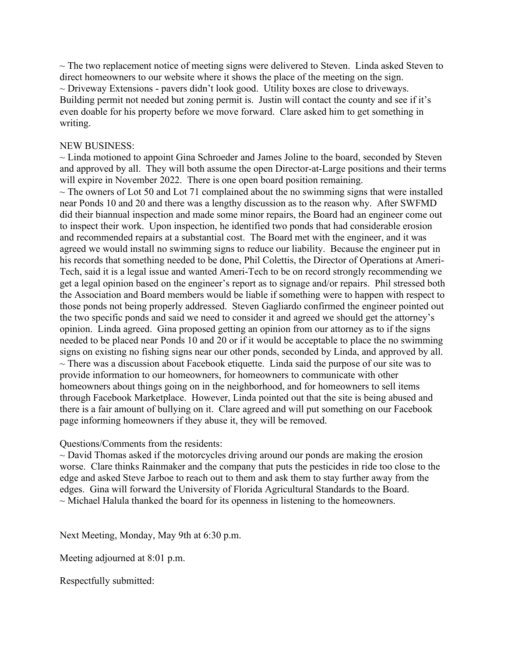$\sim$  The two replacement notice of meeting signs were delivered to Steven. Linda asked Steven to direct homeowners to our website where it shows the place of the meeting on the sign.  $\sim$  Driveway Extensions - pavers didn't look good. Utility boxes are close to driveways. Building permit not needed but zoning permit is. Justin will contact the county and see if it's even doable for his property before we move forward. Clare asked him to get something in writing.

#### NEW BUSINESS:

 $\sim$  Linda motioned to appoint Gina Schroeder and James Joline to the board, seconded by Steven and approved by all. They will both assume the open Director-at-Large positions and their terms will expire in November 2022. There is one open board position remaining.  $\sim$  The owners of Lot 50 and Lot 71 complained about the no swimming signs that were installed near Ponds 10 and 20 and there was a lengthy discussion as to the reason why. After SWFMD did their biannual inspection and made some minor repairs, the Board had an engineer come out to inspect their work. Upon inspection, he identified two ponds that had considerable erosion and recommended repairs at a substantial cost. The Board met with the engineer, and it was agreed we would install no swimming signs to reduce our liability. Because the engineer put in his records that something needed to be done, Phil Colettis, the Director of Operations at Ameri-Tech, said it is a legal issue and wanted Ameri-Tech to be on record strongly recommending we get a legal opinion based on the engineer's report as to signage and/or repairs. Phil stressed both the Association and Board members would be liable if something were to happen with respect to those ponds not being properly addressed. Steven Gagliardo confirmed the engineer pointed out the two specific ponds and said we need to consider it and agreed we should get the attorney's opinion. Linda agreed. Gina proposed getting an opinion from our attorney as to if the signs needed to be placed near Ponds 10 and 20 or if it would be acceptable to place the no swimming signs on existing no fishing signs near our other ponds, seconded by Linda, and approved by all.  $\sim$  There was a discussion about Facebook etiquette. Linda said the purpose of our site was to provide information to our homeowners, for homeowners to communicate with other homeowners about things going on in the neighborhood, and for homeowners to sell items through Facebook Marketplace. However, Linda pointed out that the site is being abused and there is a fair amount of bullying on it. Clare agreed and will put something on our Facebook page informing homeowners if they abuse it, they will be removed.

Questions/Comments from the residents:

 $\sim$  David Thomas asked if the motorcycles driving around our ponds are making the erosion worse. Clare thinks Rainmaker and the company that puts the pesticides in ride too close to the edge and asked Steve Jarboe to reach out to them and ask them to stay further away from the edges. Gina will forward the University of Florida Agricultural Standards to the Board.  $\sim$  Michael Halula thanked the board for its openness in listening to the homeowners.

Next Meeting, Monday, May 9th at 6:30 p.m.

Meeting adjourned at 8:01 p.m.

Respectfully submitted: